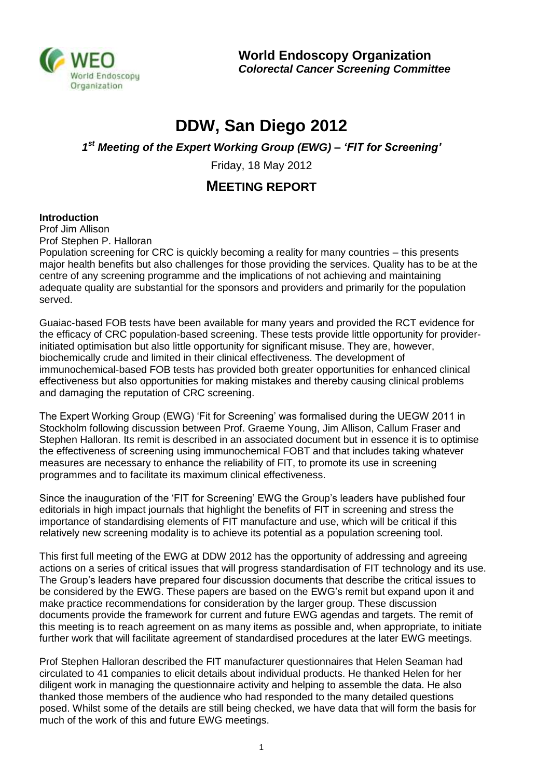

**World Endoscopy Organization** *Colorectal Cancer Screening Committee*

## **DDW, San Diego 2012**

*1 st Meeting of the Expert Working Group (EWG) – 'FIT for Screening'*

Friday, 18 May 2012

## **MEETING REPORT**

## **Introduction**

Prof Jim Allison Prof Stephen P. Halloran

Population screening for CRC is quickly becoming a reality for many countries – this presents major health benefits but also challenges for those providing the services. Quality has to be at the centre of any screening programme and the implications of not achieving and maintaining adequate quality are substantial for the sponsors and providers and primarily for the population served.

Guaiac-based FOB tests have been available for many years and provided the RCT evidence for the efficacy of CRC population-based screening. These tests provide little opportunity for providerinitiated optimisation but also little opportunity for significant misuse. They are, however, biochemically crude and limited in their clinical effectiveness. The development of immunochemical-based FOB tests has provided both greater opportunities for enhanced clinical effectiveness but also opportunities for making mistakes and thereby causing clinical problems and damaging the reputation of CRC screening.

The Expert Working Group (EWG) 'Fit for Screening' was formalised during the UEGW 2011 in Stockholm following discussion between Prof. Graeme Young, Jim Allison, Callum Fraser and Stephen Halloran. Its remit is described in an associated document but in essence it is to optimise the effectiveness of screening using immunochemical FOBT and that includes taking whatever measures are necessary to enhance the reliability of FIT, to promote its use in screening programmes and to facilitate its maximum clinical effectiveness.

Since the inauguration of the 'FIT for Screening' EWG the Group's leaders have published four editorials in high impact journals that highlight the benefits of FIT in screening and stress the importance of standardising elements of FIT manufacture and use, which will be critical if this relatively new screening modality is to achieve its potential as a population screening tool.

This first full meeting of the EWG at DDW 2012 has the opportunity of addressing and agreeing actions on a series of critical issues that will progress standardisation of FIT technology and its use. The Group's leaders have prepared four discussion documents that describe the critical issues to be considered by the EWG. These papers are based on the EWG's remit but expand upon it and make practice recommendations for consideration by the larger group. These discussion documents provide the framework for current and future EWG agendas and targets. The remit of this meeting is to reach agreement on as many items as possible and, when appropriate, to initiate further work that will facilitate agreement of standardised procedures at the later EWG meetings.

Prof Stephen Halloran described the FIT manufacturer questionnaires that Helen Seaman had circulated to 41 companies to elicit details about individual products. He thanked Helen for her diligent work in managing the questionnaire activity and helping to assemble the data. He also thanked those members of the audience who had responded to the many detailed questions posed. Whilst some of the details are still being checked, we have data that will form the basis for much of the work of this and future EWG meetings.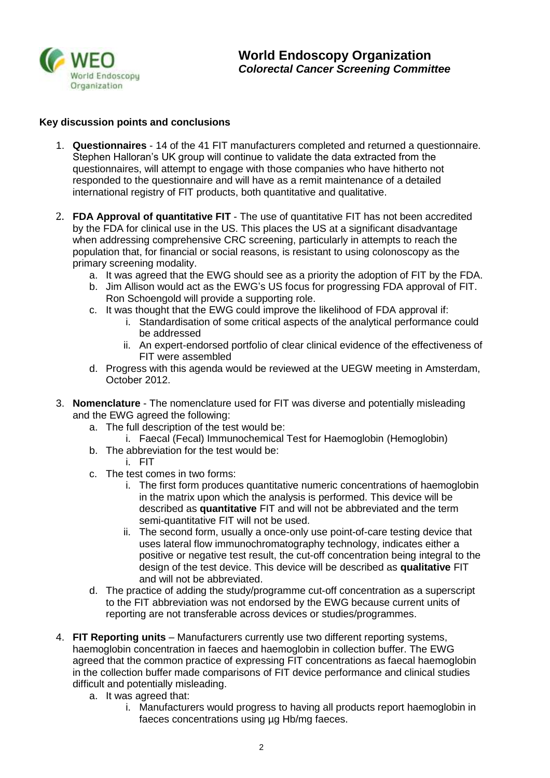

## **Key discussion points and conclusions**

- 1. **Questionnaires** 14 of the 41 FIT manufacturers completed and returned a questionnaire. Stephen Halloran's UK group will continue to validate the data extracted from the questionnaires, will attempt to engage with those companies who have hitherto not responded to the questionnaire and will have as a remit maintenance of a detailed international registry of FIT products, both quantitative and qualitative.
- 2. **FDA Approval of quantitative FIT** The use of quantitative FIT has not been accredited by the FDA for clinical use in the US. This places the US at a significant disadvantage when addressing comprehensive CRC screening, particularly in attempts to reach the population that, for financial or social reasons, is resistant to using colonoscopy as the primary screening modality.
	- a. It was agreed that the EWG should see as a priority the adoption of FIT by the FDA.
	- b. Jim Allison would act as the EWG's US focus for progressing FDA approval of FIT. Ron Schoengold will provide a supporting role.
	- c. It was thought that the EWG could improve the likelihood of FDA approval if:
		- i. Standardisation of some critical aspects of the analytical performance could be addressed
		- ii. An expert-endorsed portfolio of clear clinical evidence of the effectiveness of FIT were assembled
	- d. Progress with this agenda would be reviewed at the UEGW meeting in Amsterdam, October 2012.
- 3. **Nomenclature** The nomenclature used for FIT was diverse and potentially misleading and the EWG agreed the following:
	- a. The full description of the test would be:
		- i. Faecal (Fecal) Immunochemical Test for Haemoglobin (Hemoglobin)
	- b. The abbreviation for the test would be:
		- i. FIT
	- c. The test comes in two forms:
		- i. The first form produces quantitative numeric concentrations of haemoglobin in the matrix upon which the analysis is performed. This device will be described as **quantitative** FIT and will not be abbreviated and the term semi-quantitative FIT will not be used.
		- ii. The second form, usually a once-only use point-of-care testing device that uses lateral flow immunochromatography technology, indicates either a positive or negative test result, the cut-off concentration being integral to the design of the test device. This device will be described as **qualitative** FIT and will not be abbreviated.
	- d. The practice of adding the study/programme cut-off concentration as a superscript to the FIT abbreviation was not endorsed by the EWG because current units of reporting are not transferable across devices or studies/programmes.
- 4. **FIT Reporting units** Manufacturers currently use two different reporting systems, haemoglobin concentration in faeces and haemoglobin in collection buffer. The EWG agreed that the common practice of expressing FIT concentrations as faecal haemoglobin in the collection buffer made comparisons of FIT device performance and clinical studies difficult and potentially misleading.
	- a. It was agreed that:
		- i. Manufacturers would progress to having all products report haemoglobin in faeces concentrations using µg Hb/mg faeces.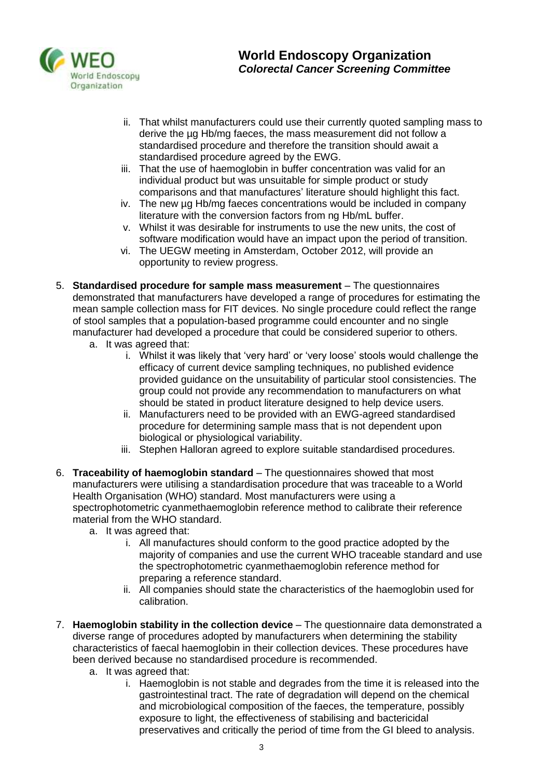

- ii. That whilst manufacturers could use their currently quoted sampling mass to derive the µg Hb/mg faeces, the mass measurement did not follow a standardised procedure and therefore the transition should await a standardised procedure agreed by the EWG.
- iii. That the use of haemoglobin in buffer concentration was valid for an individual product but was unsuitable for simple product or study comparisons and that manufactures' literature should highlight this fact.
- iv. The new µg Hb/mg faeces concentrations would be included in company literature with the conversion factors from ng Hb/mL buffer.
- v. Whilst it was desirable for instruments to use the new units, the cost of software modification would have an impact upon the period of transition.
- vi. The UEGW meeting in Amsterdam, October 2012, will provide an opportunity to review progress.
- 5. **Standardised procedure for sample mass measurement** The questionnaires demonstrated that manufacturers have developed a range of procedures for estimating the mean sample collection mass for FIT devices. No single procedure could reflect the range of stool samples that a population-based programme could encounter and no single manufacturer had developed a procedure that could be considered superior to others.
	- a. It was agreed that:
		- i. Whilst it was likely that 'very hard' or 'very loose' stools would challenge the efficacy of current device sampling techniques, no published evidence provided guidance on the unsuitability of particular stool consistencies. The group could not provide any recommendation to manufacturers on what should be stated in product literature designed to help device users.
		- ii. Manufacturers need to be provided with an EWG-agreed standardised procedure for determining sample mass that is not dependent upon biological or physiological variability.
		- iii. Stephen Halloran agreed to explore suitable standardised procedures.
- 6. **Traceability of haemoglobin standard** The questionnaires showed that most manufacturers were utilising a standardisation procedure that was traceable to a World Health Organisation (WHO) standard. Most manufacturers were using a spectrophotometric cyanmethaemoglobin reference method to calibrate their reference material from the WHO standard.
	- a. It was agreed that:
		- i. All manufactures should conform to the good practice adopted by the majority of companies and use the current WHO traceable standard and use the spectrophotometric cyanmethaemoglobin reference method for preparing a reference standard.
		- ii. All companies should state the characteristics of the haemoglobin used for calibration.
- 7. **Haemoglobin stability in the collection device** The questionnaire data demonstrated a diverse range of procedures adopted by manufacturers when determining the stability characteristics of faecal haemoglobin in their collection devices. These procedures have been derived because no standardised procedure is recommended.
	- a. It was agreed that:
		- i. Haemoglobin is not stable and degrades from the time it is released into the gastrointestinal tract. The rate of degradation will depend on the chemical and microbiological composition of the faeces, the temperature, possibly exposure to light, the effectiveness of stabilising and bactericidal preservatives and critically the period of time from the GI bleed to analysis.